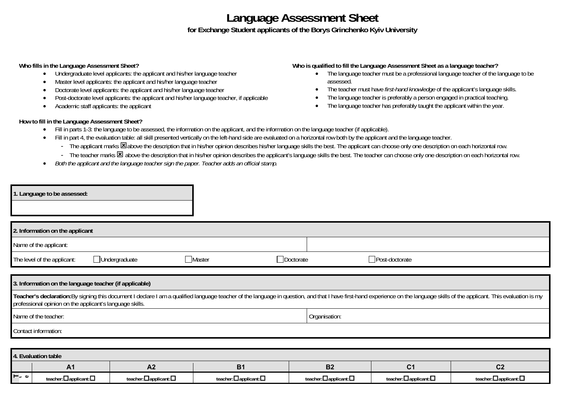## **Language Assessment Sheet for Exchange Student applicants of the Borys Grinchenko Kyiv University**

## **Who fills in the Language Assessment Sheet?**

- $\bullet$ Undergraduate level applicants: the applicant and his/her language teacher
- $\bullet$ Master level applicants: the applicant and his/her language teacher
- . Doctorate level applicants: the applicant and his/her language teacher
- $\bullet$ Post-doctorate level applicants: the applicant and his/her language teacher, if applicable
- $\bullet$ Academic staff applicants: the applicant

## **Who is qualified to fill the Language Assessment Sheet as a language teacher?**

- The language teacher must be a professional language teacher of the language to be assessed.
- . The teacher must have *first-hand knowledge* of the applicant's language skills.
- . The language teacher is preferably a person engaged in practical teaching.
- . The language teacher has preferably taught the applicant within the year.

## **How to fill in the Language Assessment Sheet?**

- $\bullet$ Fill in parts 1-3: the language to be assessed, the information on the applicant, and the information on the language teacher (if applicable).
- $\bullet$ Fill in part 4, the evaluation table: all skill presented vertically on the left-hand side are evaluated on a horizontal row both by the applicant and the language teacher.
	- The applicant marks **E** above the description that in his/her opinion describes his/her language skills the best. The applicant can choose only one description on each horizontal row.
	- The teacher marks **E** above the description that in his/her opinion describes the applicant's language skills the best. The teacher can choose only one description on each horizontal row.
- $\bullet$ *Both the applicant and the language teacher sign the paper. Teacher adds an official stamp.*

|                                                                                                                                                                                                                                                                                                                                                     | . Language to be assessed:  |                       |               |                                   |                                   |                                   |                      |  |  |  |  |  |
|-----------------------------------------------------------------------------------------------------------------------------------------------------------------------------------------------------------------------------------------------------------------------------------------------------------------------------------------------------|-----------------------------|-----------------------|---------------|-----------------------------------|-----------------------------------|-----------------------------------|----------------------|--|--|--|--|--|
| 2. Information on the applicant                                                                                                                                                                                                                                                                                                                     |                             |                       |               |                                   |                                   |                                   |                      |  |  |  |  |  |
|                                                                                                                                                                                                                                                                                                                                                     | Name of the applicant:      |                       |               |                                   |                                   |                                   |                      |  |  |  |  |  |
|                                                                                                                                                                                                                                                                                                                                                     | The level of the applicant: | $\Box$ Undergraduate  | <b>Master</b> | □Doctorate                        |                                   | □Post-doctorate                   |                      |  |  |  |  |  |
| 3. Information on the language teacher (if applicable)<br>Teacher's declaration: By signing this document I declare I am a qualified language teacher of the language in question, and that I have first-hand experience on the language skills of the applicant. This evaluation is my<br>professional opinion on the applicant's language skills. |                             |                       |               |                                   |                                   |                                   |                      |  |  |  |  |  |
|                                                                                                                                                                                                                                                                                                                                                     | Name of the teacher:        |                       |               | Organisation:                     |                                   |                                   |                      |  |  |  |  |  |
| Contact information:                                                                                                                                                                                                                                                                                                                                |                             |                       |               |                                   |                                   |                                   |                      |  |  |  |  |  |
|                                                                                                                                                                                                                                                                                                                                                     |                             |                       |               |                                   |                                   |                                   |                      |  |  |  |  |  |
| 4. Evaluation table                                                                                                                                                                                                                                                                                                                                 |                             |                       |               |                                   |                                   |                                   |                      |  |  |  |  |  |
|                                                                                                                                                                                                                                                                                                                                                     | A <sub>1</sub>              | A2                    |               | <b>B1</b>                         | <b>B2</b>                         | C <sub>1</sub>                    | C <sub>2</sub>       |  |  |  |  |  |
| $\vdash$ $\circ$                                                                                                                                                                                                                                                                                                                                    | teacher: applicant:         | teacher: applicant: 0 |               | teacher: $\Box$ applicant: $\Box$ | teacher: $\Box$ applicant: $\Box$ | teacher: $\Box$ applicant: $\Box$ | teacher:□applicant:□ |  |  |  |  |  |